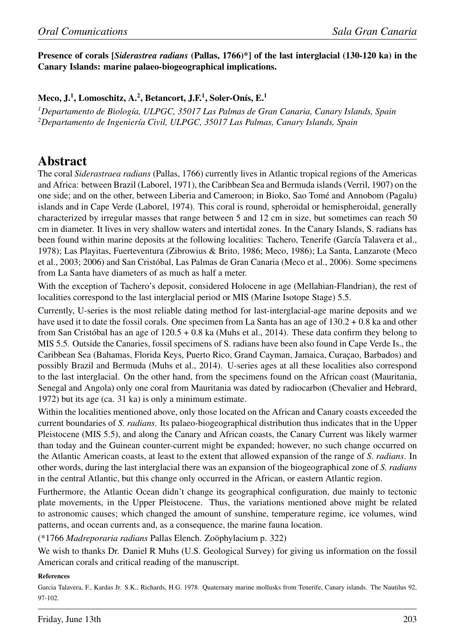## Presence of corals [*Siderastrea radians* (Pallas, 1766)\*] of the last interglacial (130-120 ka) in the Canary Islands: marine palaeo-biogeographical implications.

Meco, J.<sup>1</sup>, Lomoschitz, A.<sup>2</sup>, Betancort, J.F.<sup>1</sup>, Soler-Onís, E.<sup>1</sup>

*<sup>1</sup>Departamento de Biolog´ıa, ULPGC, 35017 Las Palmas de Gran Canaria, Canary Islands, Spain <sup>2</sup>Departamento de Ingenier´ıa Civil, ULPGC, 35017 Las Palmas, Canary Islands, Spain*

## Abstract

The coral *Siderastraea radians* (Pallas, 1766) currently lives in Atlantic tropical regions of the Americas and Africa: between Brazil (Laborel, 1971), the Caribbean Sea and Bermuda islands (Verril, 1907) on the one side; and on the other, between Liberia and Cameroon; in Bioko, Sao Tome and Annobom (Pagalu) ´ islands and in Cape Verde (Laborel, 1974). This coral is round, spheroidal or hemispheroidal, generally characterized by irregular masses that range between 5 and 12 cm in size, but sometimes can reach 50 cm in diameter. It lives in very shallow waters and intertidal zones. In the Canary Islands, S. radians has been found within marine deposits at the following localities: Tachero, Tenerife (García Talavera et al., 1978); Las Playitas, Fuerteventura (Zibrowius & Brito, 1986; Meco, 1986); La Santa, Lanzarote (Meco et al., 2003; 2006) and San Cristóbal, Las Palmas de Gran Canaria (Meco et al., 2006). Some specimens from La Santa have diameters of as much as half a meter.

With the exception of Tachero's deposit, considered Holocene in age (Mellahian-Flandrian), the rest of localities correspond to the last interglacial period or MIS (Marine Isotope Stage) 5.5.

Currently, U-series is the most reliable dating method for last-interglacial-age marine deposits and we have used it to date the fossil corals. One specimen from La Santa has an age of 130.2 + 0.8 ka and other from San Cristóbal has an age of  $120.5 + 0.8$  ka (Muhs et al., 2014). These data confirm they belong to MIS 5.5. Outside the Canaries, fossil specimens of S. radians have been also found in Cape Verde Is., the Caribbean Sea (Bahamas, Florida Keys, Puerto Rico, Grand Cayman, Jamaica, Curaçao, Barbados) and possibly Brazil and Bermuda (Muhs et al., 2014). U-series ages at all these localities also correspond to the last interglacial. On the other hand, from the specimens found on the African coast (Mauritania, Senegal and Angola) only one coral from Mauritania was dated by radiocarbon (Chevalier and Hebrard, 1972) but its age (ca. 31 ka) is only a minimum estimate.

Within the localities mentioned above, only those located on the African and Canary coasts exceeded the current boundaries of *S. radians*. Its palaeo-biogeographical distribution thus indicates that in the Upper Pleistocene (MIS 5.5), and along the Canary and African coasts, the Canary Current was likely warmer than today and the Guinean counter-current might be expanded; however, no such change occurred on the Atlantic American coasts, at least to the extent that allowed expansion of the range of *S. radians*. In other words, during the last interglacial there was an expansion of the biogeographical zone of *S. radians* in the central Atlantic, but this change only occurred in the African, or eastern Atlantic region.

Furthermore, the Atlantic Ocean didn't change its geographical configuration, due mainly to tectonic plate movements, in the Upper Pleistocene. Thus, the variations mentioned above might be related to astronomic causes; which changed the amount of sunshine, temperature regime, ice volumes, wind patterns, and ocean currents and, as a consequence, the marine fauna location.

(\*1766 *Madreporaria radians* Pallas Elench. Zoophylacium p. 322) ¨

We wish to thanks Dr. Daniel R Muhs (U.S. Geological Survey) for giving us information on the fossil American corals and critical reading of the manuscript.

References

Garcia Talavera, F., Kardas Jr. S.K., Richards, H.G. 1978. Quaternary marine mollusks from Tenerife, Canary islands. The Nautilus 92, 97-102.